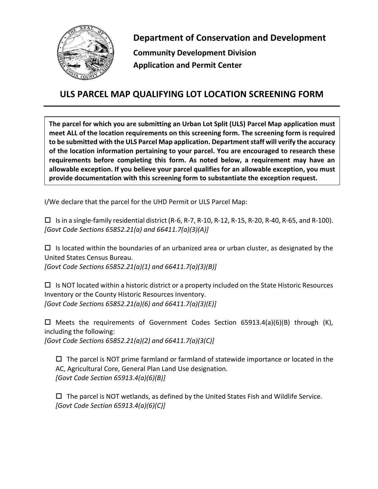

**Department of Conservation and Development Community Development Division Application and Permit Center**

## **ULS PARCEL MAP QUALIFYING LOT LOCATION SCREENING FORM**

**The parcel for which you are submitting an Urban Lot Split (ULS) Parcel Map application must meet ALL of the location requirements on this screening form. The screening form is required to be submitted with the ULS Parcel Map application. Department staff will verify the accuracy of the location information pertaining to your parcel. You are encouraged to research these requirements before completing this form. As noted below, a requirement may have an allowable exception. If you believe your parcel qualifies for an allowable exception, you must provide documentation with this screening form to substantiate the exception request.**

I/We declare that the parcel for the UHD Permit or ULS Parcel Map:

 $\Box$  Is in a single-family residential district (R-6, R-7, R-10, R-12, R-15, R-20, R-40, R-65, and R-100). *[Govt Code Sections 65852.21(a) and 66411.7(a)(3)(A)]*

 $\Box$  Is located within the boundaries of an urbanized area or urban cluster, as designated by the United States Census Bureau.

*[Govt Code Sections 65852.21(a)(1) and 66411.7(a)(3)(B)]*

 $\Box$  Is NOT located within a historic district or a property included on the State Historic Resources Inventory or the County Historic Resources Inventory. *[Govt Code Sections 65852.21(a)(6) and 66411.7(a)(3)(E)]*

 $\Box$  Meets the requirements of Government Codes Section 65913.4(a)(6)(B) through (K), including the following:

*[Govt Code Sections 65852.21(a)(2) and 66411.7(a)(3(C)]*

 $\Box$  The parcel is NOT prime farmland or farmland of statewide importance or located in the AC, Agricultural Core, General Plan Land Use designation. *[Govt Code Section 65913.4(a)(6)(B)]*

 $\Box$  The parcel is NOT wetlands, as defined by the United States Fish and Wildlife Service. *[Govt Code Section 65913.4(a)(6)(C)]*